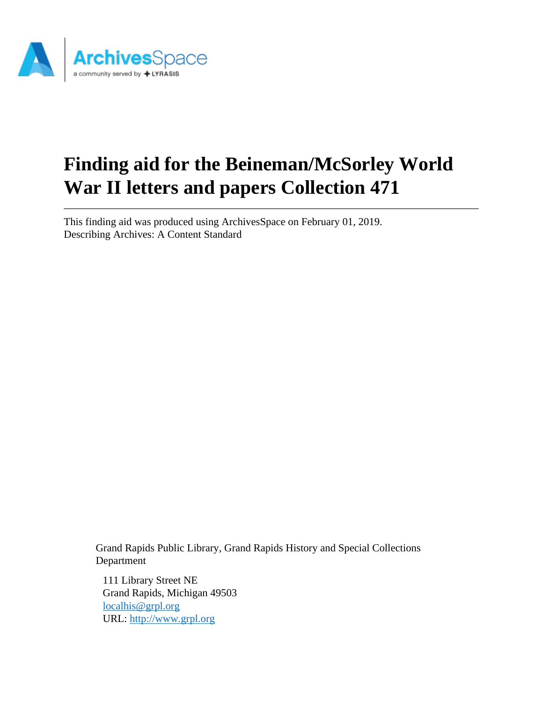

# **Finding aid for the Beineman/McSorley World War II letters and papers Collection 471**

This finding aid was produced using ArchivesSpace on February 01, 2019. Describing Archives: A Content Standard

> Grand Rapids Public Library, Grand Rapids History and Special Collections Department

111 Library Street NE Grand Rapids, Michigan 49503 [localhis@grpl.org](mailto:localhis@grpl.org) URL:<http://www.grpl.org>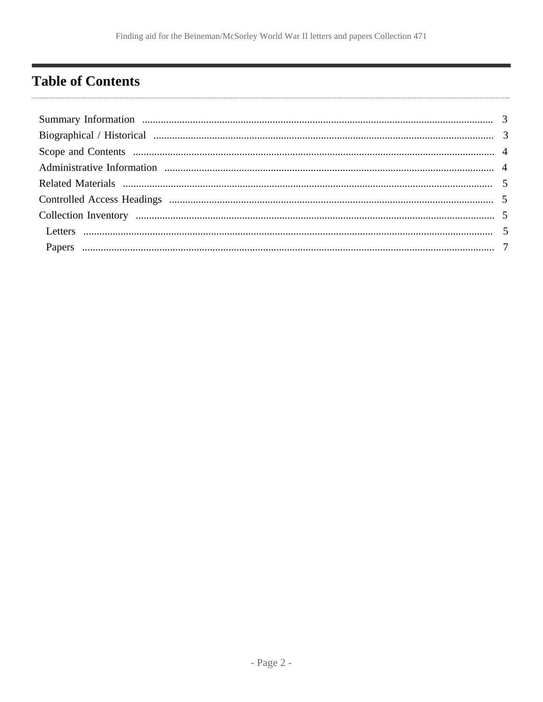## <span id="page-1-0"></span>**Table of Contents**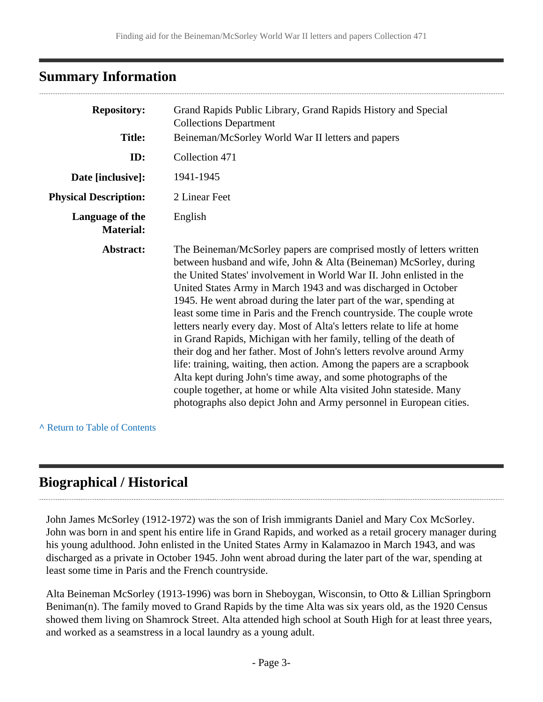## <span id="page-2-0"></span>**Summary Information**

| <b>Repository:</b>                  | Grand Rapids Public Library, Grand Rapids History and Special<br><b>Collections Department</b>                                                                                                                                                                                                                                                                                                                                                                                                                                                                                                                                                                                                                                                                                                                                                                                                                                                        |
|-------------------------------------|-------------------------------------------------------------------------------------------------------------------------------------------------------------------------------------------------------------------------------------------------------------------------------------------------------------------------------------------------------------------------------------------------------------------------------------------------------------------------------------------------------------------------------------------------------------------------------------------------------------------------------------------------------------------------------------------------------------------------------------------------------------------------------------------------------------------------------------------------------------------------------------------------------------------------------------------------------|
| <b>Title:</b>                       | Beineman/McSorley World War II letters and papers                                                                                                                                                                                                                                                                                                                                                                                                                                                                                                                                                                                                                                                                                                                                                                                                                                                                                                     |
| ID:                                 | Collection 471                                                                                                                                                                                                                                                                                                                                                                                                                                                                                                                                                                                                                                                                                                                                                                                                                                                                                                                                        |
| Date [inclusive]:                   | 1941-1945                                                                                                                                                                                                                                                                                                                                                                                                                                                                                                                                                                                                                                                                                                                                                                                                                                                                                                                                             |
| <b>Physical Description:</b>        | 2 Linear Feet                                                                                                                                                                                                                                                                                                                                                                                                                                                                                                                                                                                                                                                                                                                                                                                                                                                                                                                                         |
| Language of the<br><b>Material:</b> | English                                                                                                                                                                                                                                                                                                                                                                                                                                                                                                                                                                                                                                                                                                                                                                                                                                                                                                                                               |
| Abstract:                           | The Beineman/McSorley papers are comprised mostly of letters written<br>between husband and wife, John & Alta (Beineman) McSorley, during<br>the United States' involvement in World War II. John enlisted in the<br>United States Army in March 1943 and was discharged in October<br>1945. He went abroad during the later part of the war, spending at<br>least some time in Paris and the French countryside. The couple wrote<br>letters nearly every day. Most of Alta's letters relate to life at home<br>in Grand Rapids, Michigan with her family, telling of the death of<br>their dog and her father. Most of John's letters revolve around Army<br>life: training, waiting, then action. Among the papers are a scrapbook<br>Alta kept during John's time away, and some photographs of the<br>couple together, at home or while Alta visited John stateside. Many<br>photographs also depict John and Army personnel in European cities. |

**^** [Return to Table of Contents](#page-1-0)

## <span id="page-2-1"></span>**Biographical / Historical**

John James McSorley (1912-1972) was the son of Irish immigrants Daniel and Mary Cox McSorley. John was born in and spent his entire life in Grand Rapids, and worked as a retail grocery manager during his young adulthood. John enlisted in the United States Army in Kalamazoo in March 1943, and was discharged as a private in October 1945. John went abroad during the later part of the war, spending at least some time in Paris and the French countryside.

Alta Beineman McSorley (1913-1996) was born in Sheboygan, Wisconsin, to Otto & Lillian Springborn Beniman(n). The family moved to Grand Rapids by the time Alta was six years old, as the 1920 Census showed them living on Shamrock Street. Alta attended high school at South High for at least three years, and worked as a seamstress in a local laundry as a young adult.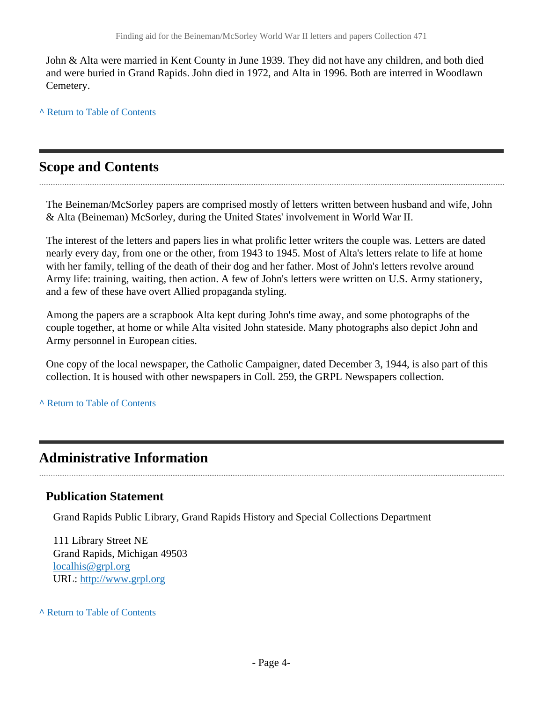John & Alta were married in Kent County in June 1939. They did not have any children, and both died and were buried in Grand Rapids. John died in 1972, and Alta in 1996. Both are interred in Woodlawn Cemetery.

**^** [Return to Table of Contents](#page-1-0)

#### <span id="page-3-0"></span>**Scope and Contents**

The Beineman/McSorley papers are comprised mostly of letters written between husband and wife, John & Alta (Beineman) McSorley, during the United States' involvement in World War II.

The interest of the letters and papers lies in what prolific letter writers the couple was. Letters are dated nearly every day, from one or the other, from 1943 to 1945. Most of Alta's letters relate to life at home with her family, telling of the death of their dog and her father. Most of John's letters revolve around Army life: training, waiting, then action. A few of John's letters were written on U.S. Army stationery, and a few of these have overt Allied propaganda styling.

Among the papers are a scrapbook Alta kept during John's time away, and some photographs of the couple together, at home or while Alta visited John stateside. Many photographs also depict John and Army personnel in European cities.

One copy of the local newspaper, the Catholic Campaigner, dated December 3, 1944, is also part of this collection. It is housed with other newspapers in Coll. 259, the GRPL Newspapers collection.

**^** [Return to Table of Contents](#page-1-0)

#### <span id="page-3-1"></span>**Administrative Information**

#### **Publication Statement**

Grand Rapids Public Library, Grand Rapids History and Special Collections Department

111 Library Street NE Grand Rapids, Michigan 49503 [localhis@grpl.org](mailto:localhis@grpl.org) URL:<http://www.grpl.org>

**^** [Return to Table of Contents](#page-1-0)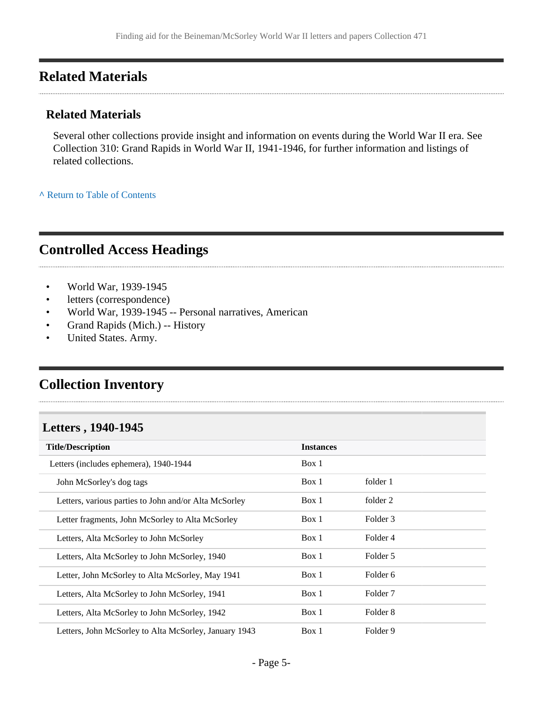### <span id="page-4-0"></span>**Related Materials**

#### **Related Materials**

Several other collections provide insight and information on events during the World War II era. See Collection 310: Grand Rapids in World War II, 1941-1946, for further information and listings of related collections.

**^** [Return to Table of Contents](#page-1-0)

#### <span id="page-4-1"></span>**Controlled Access Headings**

- World War, 1939-1945
- letters (correspondence)
- World War, 1939-1945 -- Personal narratives, American
- Grand Rapids (Mich.) -- History
- United States. Army.

## <span id="page-4-2"></span>**Collection Inventory**

#### <span id="page-4-3"></span>**Letters , 1940-1945**

| <b>Title/Description</b>                              | <b>Instances</b> |                     |  |
|-------------------------------------------------------|------------------|---------------------|--|
| Letters (includes ephemera), 1940-1944                | Box 1            |                     |  |
| John McSorley's dog tags                              | Box 1            | folder 1            |  |
| Letters, various parties to John and/or Alta McSorley | Box 1            | folder 2            |  |
| Letter fragments, John McSorley to Alta McSorley      | Box 1            | Folder 3            |  |
| Letters, Alta McSorley to John McSorley               | Box 1            | Folder 4            |  |
| Letters, Alta McSorley to John McSorley, 1940         | Box 1            | Folder 5            |  |
| Letter, John McSorley to Alta McSorley, May 1941      | Box 1            | Folder 6            |  |
| Letters, Alta McSorley to John McSorley, 1941         | Box 1            | Folder <sub>7</sub> |  |
| Letters, Alta McSorley to John McSorley, 1942         | Box 1            | Folder 8            |  |
| Letters, John McSorley to Alta McSorley, January 1943 | Box 1            | Folder 9            |  |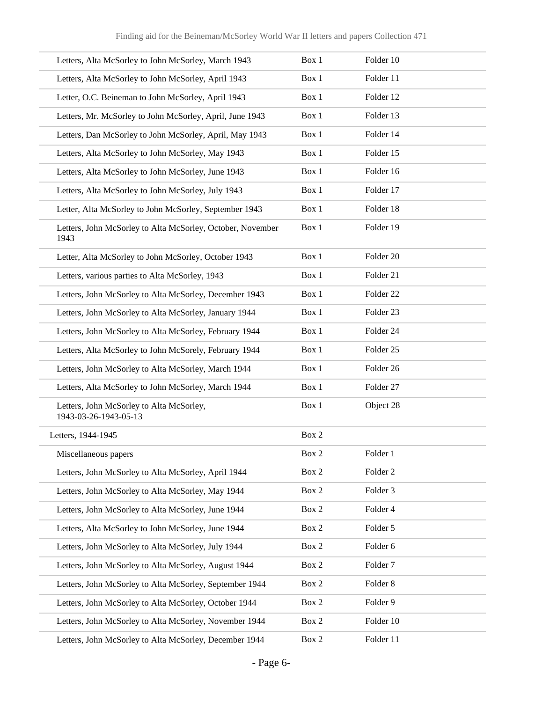| Letters, Alta McSorley to John McSorley, March 1943                | Box 1 | Folder 10           |
|--------------------------------------------------------------------|-------|---------------------|
| Letters, Alta McSorley to John McSorley, April 1943                | Box 1 | Folder 11           |
| Letter, O.C. Beineman to John McSorley, April 1943                 | Box 1 | Folder 12           |
| Letters, Mr. McSorley to John McSorley, April, June 1943           | Box 1 | Folder 13           |
| Letters, Dan McSorley to John McSorley, April, May 1943            | Box 1 | Folder 14           |
| Letters, Alta McSorley to John McSorley, May 1943                  | Box 1 | Folder 15           |
| Letters, Alta McSorley to John McSorley, June 1943                 | Box 1 | Folder 16           |
| Letters, Alta McSorley to John McSorley, July 1943                 | Box 1 | Folder 17           |
| Letter, Alta McSorley to John McSorley, September 1943             | Box 1 | Folder 18           |
| Letters, John McSorley to Alta McSorley, October, November<br>1943 | Box 1 | Folder 19           |
| Letter, Alta McSorley to John McSorley, October 1943               | Box 1 | Folder 20           |
| Letters, various parties to Alta McSorley, 1943                    | Box 1 | Folder 21           |
| Letters, John McSorley to Alta McSorley, December 1943             | Box 1 | Folder 22           |
| Letters, John McSorley to Alta McSorley, January 1944              | Box 1 | Folder 23           |
| Letters, John McSorley to Alta McSorley, February 1944             | Box 1 | Folder 24           |
| Letters, Alta McSorley to John McSorely, February 1944             | Box 1 | Folder 25           |
| Letters, John McSorley to Alta McSorley, March 1944                | Box 1 | Folder 26           |
| Letters, Alta McSorley to John McSorley, March 1944                | Box 1 | Folder 27           |
| Letters, John McSorley to Alta McSorley,<br>1943-03-26-1943-05-13  | Box 1 | Object 28           |
| Letters, 1944-1945                                                 | Box 2 |                     |
| Miscellaneous papers                                               | Box 2 | Folder 1            |
| Letters, John McSorley to Alta McSorley, April 1944                | Box 2 | Folder <sub>2</sub> |
| Letters, John McSorley to Alta McSorley, May 1944                  | Box 2 | Folder 3            |
| Letters, John McSorley to Alta McSorley, June 1944                 | Box 2 | Folder 4            |
| Letters, Alta McSorley to John McSorley, June 1944                 | Box 2 | Folder 5            |
| Letters, John McSorley to Alta McSorley, July 1944                 | Box 2 | Folder 6            |
| Letters, John McSorley to Alta McSorley, August 1944               | Box 2 | Folder <sub>7</sub> |
| Letters, John McSorley to Alta McSorley, September 1944            | Box 2 | Folder 8            |
| Letters, John McSorley to Alta McSorley, October 1944              | Box 2 | Folder 9            |
| Letters, John McSorley to Alta McSorley, November 1944             | Box 2 | Folder 10           |
| Letters, John McSorley to Alta McSorley, December 1944             | Box 2 | Folder 11           |